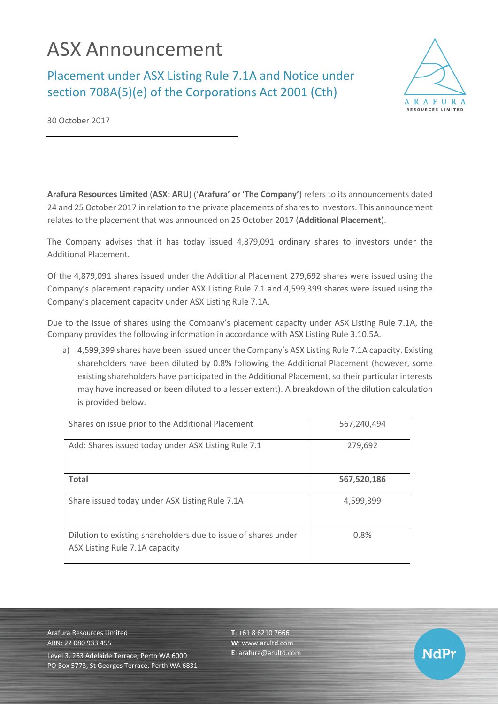## ASX Announcement

Placement under ASX Listing Rule 7.1A and Notice under section 708A(5)(e) of the Corporations Act 2001 (Cth)



**NdPr** 

30 October 2017

**Arafura Resources Limited** (**ASX: ARU**) ('**Arafura' or 'The Company'**) refers to its announcements dated 24 and 25 October 2017 in relation to the private placements of shares to investors. This announcement relates to the placement that was announced on 25 October 2017 (**Additional Placement**).

The Company advises that it has today issued 4,879,091 ordinary shares to investors under the Additional Placement.

Of the 4,879,091 shares issued under the Additional Placement 279,692 shares were issued using the Company's placement capacity under ASX Listing Rule 7.1 and 4,599,399 shares were issued using the Company's placement capacity under ASX Listing Rule 7.1A.

Due to the issue of shares using the Company's placement capacity under ASX Listing Rule 7.1A, the Company provides the following information in accordance with ASX Listing Rule 3.10.5A.

a) 4,599,399 shares have been issued under the Company's ASX Listing Rule 7.1A capacity. Existing shareholders have been diluted by 0.8% following the Additional Placement (however, some existing shareholders have participated in the Additional Placement, so their particular interests may have increased or been diluted to a lesser extent). A breakdown of the dilution calculation is provided below.

| Shares on issue prior to the Additional Placement                                                | 567,240,494 |
|--------------------------------------------------------------------------------------------------|-------------|
| Add: Shares issued today under ASX Listing Rule 7.1                                              | 279,692     |
| <b>Total</b>                                                                                     | 567,520,186 |
| Share issued today under ASX Listing Rule 7.1A                                                   | 4,599,399   |
| Dilution to existing shareholders due to issue of shares under<br>ASX Listing Rule 7.1A capacity | 0.8%        |

Arafura Resources Limited ABN: 22 080 933 455 Level 3, 263 Adelaide Terrace, Perth WA 6000 PO Box 5773, St Georges Terrace, Perth WA 6831 **T**: +61 8 6210 7666 **W**: [www.arultd.com](http://www.arultd.com/) **E**[: arafura@arultd.com](mailto:arafura@arultd.com)